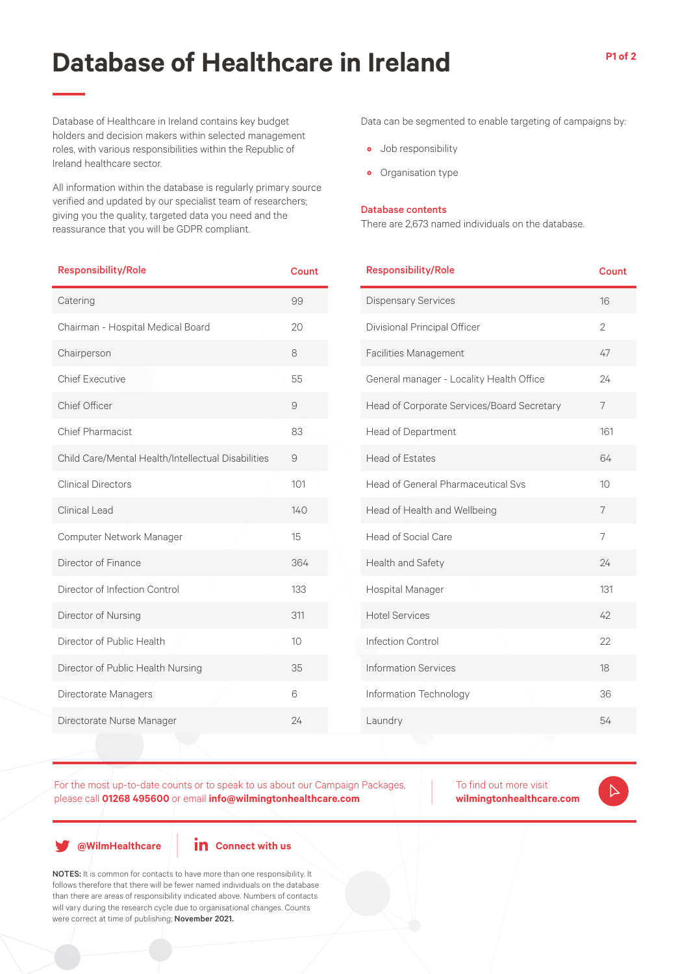## **Database of Healthcare in Ireland**

**P1 of 2**

Database of Healthcare in Ireland contains key budget holders and decision makers within selected management roles, with various responsibilities within the Republic of Ireland healthcare sector.

All information within the database is regularly primary source verified and updated by our specialist team of researchers; giving you the quality, targeted data you need and the reassurance that you will be GDPR compliant.

| <b>Responsibility/Role</b>                         | <b>Count</b> |
|----------------------------------------------------|--------------|
| Catering                                           | 99           |
| Chairman - Hospital Medical Board                  | 20           |
| Chairperson                                        | 8            |
| <b>Chief Executive</b>                             | 55           |
| Chief Officer                                      | 9            |
| <b>Chief Pharmacist</b>                            | 83           |
| Child Care/Mental Health/Intellectual Disabilities | 9            |
| <b>Clinical Directors</b>                          | 101          |
| Clinical Lead                                      | 140          |
| Computer Network Manager                           | 15           |
| Director of Finance                                | 364          |
| Director of Infection Control                      | 133          |
| Director of Nursing                                | 311          |
| Director of Public Health                          | 10           |
| Director of Public Health Nursing                  | 35           |
| Directorate Managers                               | 6            |
| Directorate Nurse Manager                          | 24           |

Data can be segmented to enable targeting of campaigns by:

- Job responsibility
- Organisation type

## Database contents

There are 2,673 named individuals on the database.

| <b>Responsibility/Role</b>                 | Count          |
|--------------------------------------------|----------------|
| <b>Dispensary Services</b>                 | 16             |
| Divisional Principal Officer               | $\mathfrak{D}$ |
| <b>Facilities Management</b>               | 47             |
| General manager - Locality Health Office   | 24             |
| Head of Corporate Services/Board Secretary | 7              |
| <b>Head of Department</b>                  | 161            |
| <b>Head of Estates</b>                     | 64             |
| <b>Head of General Pharmaceutical Svs</b>  | 10             |
| Head of Health and Wellbeing               | 7              |
| Head of Social Care                        | $\overline{7}$ |
| Health and Safety                          | 24             |
| Hospital Manager                           | 131            |
| <b>Hotel Services</b>                      | 42             |
| Infection Control                          | 22             |
| <b>Information Services</b>                | 18             |
| Information Technology                     | 36             |
| Laundry                                    | 54             |
|                                            |                |

For the most up-to-date counts or to speak to us about our Campaign Packages, please call **01268 495600** or email **info@wilmingtonhealthcare.com**

To find out more visit **wilmingtonhealthcare.com**  $\triangleright$ 

**@WilmHealthcare**

**in** Connect with us

NOTES: It is common for contacts to have more than one responsibility. It follows therefore that there will be fewer named individuals on the database than there are areas of responsibility indicated above. Numbers of contacts will vary during the research cycle due to organisational changes. Counts were correct at time of publishing; November 2021.